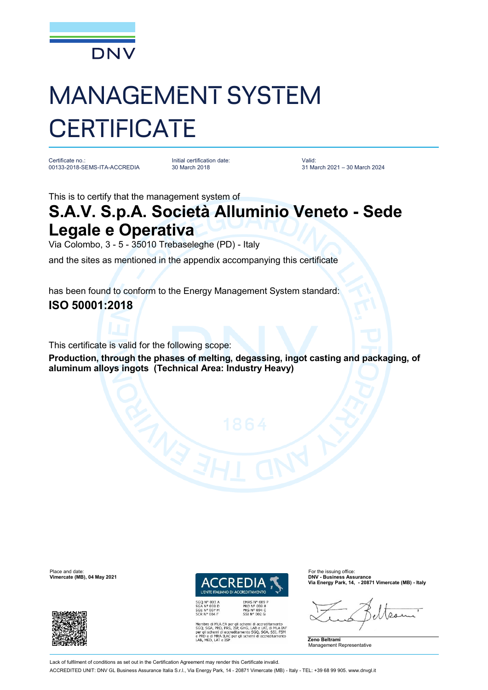

## MANAGEMENT SYSTEM **CERTIFICATE**

Certificate no.: 00133-2018-SEMS-ITA-ACCREDIA

Initial certification date: 30 March 2018

Valid: 31 March 2021 – 30 March 2024

This is to certify that the management system of

## **S.A.V. S.p.A. Società Alluminio Veneto - Sede Legale e Operativa**

Via Colombo, 3 - 5 - 35010 Trebaseleghe (PD) - Italy

and the sites as mentioned in the appendix accompanying this certificate

has been found to conform to the Energy Management System standard: **ISO 50001:2018**

This certificate is valid for the following scope:

**Production, through the phases of melting, degassing, ingot casting and packaging, of aluminum alloys ingots (Technical Area: Industry Heavy)** 



**EMAS N° 009<br>PRD N° 003 B<br>PRS N° 094 C<br>SSI N° 002 G** MLA EA per gli schemi di accreditamento<br>PRD, PRS, ISP, GHG, LAB e LAT, di MLA IAF<br>emi di accreditamento SGQ, SGA, SSI, FSM<br>MRA ILAC per gli schemi di accreditamento<br>LAT e ISP e PRD e di MRA ILAC per<br>LAB, MED, LAT e ISP

**Via Energy Park, 14, - 20871 Vimercate (MB) - Italy**



**Vimercate (MB), 04 May 2021** 



Lack of fulfilment of conditions as set out in the Certification Agreement may render this Certificate invalid

ACCREDITED UNIT: DNV GL Business Assurance Italia S.r.l., Via Energy Park, 14 - 20871 Vimercate (MB) - Italy - TEL: +39 68 99 905. [www.dnvgl.it](http://www.dnvgl.it)